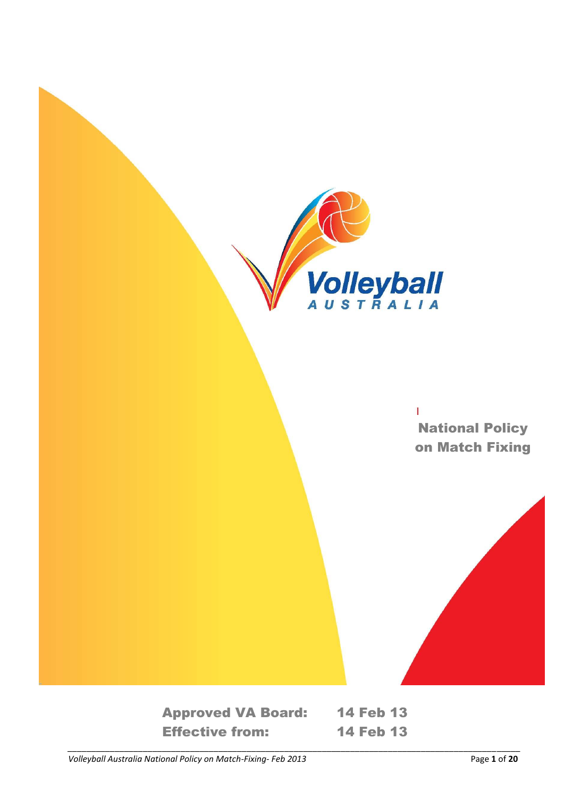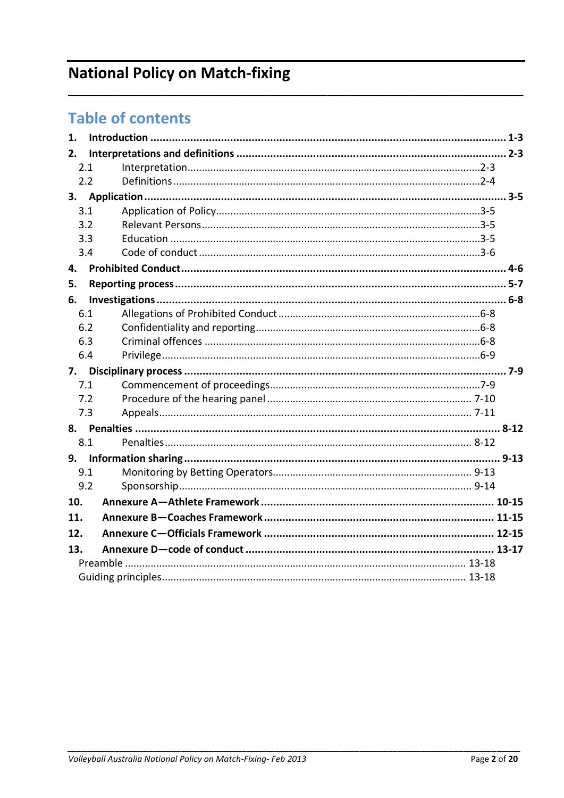# **National Policy on Match-fixing**

# **Table of contents**

| 1.  |  |
|-----|--|
| 2.  |  |
| 2.1 |  |
| 2.2 |  |
|     |  |
| 3.1 |  |
| 3.2 |  |
| 3.3 |  |
| 3.4 |  |
| 4.  |  |
| 5.  |  |
| 6.  |  |
| 6.1 |  |
| 6.2 |  |
| 6.3 |  |
| 6.4 |  |
| 7.  |  |
| 7.1 |  |
| 7.2 |  |
| 7.3 |  |
|     |  |
| 8.1 |  |
| 9.  |  |
| 9.1 |  |
| 9.2 |  |
| 10. |  |
| 11. |  |
| 12. |  |
| 13. |  |
|     |  |
|     |  |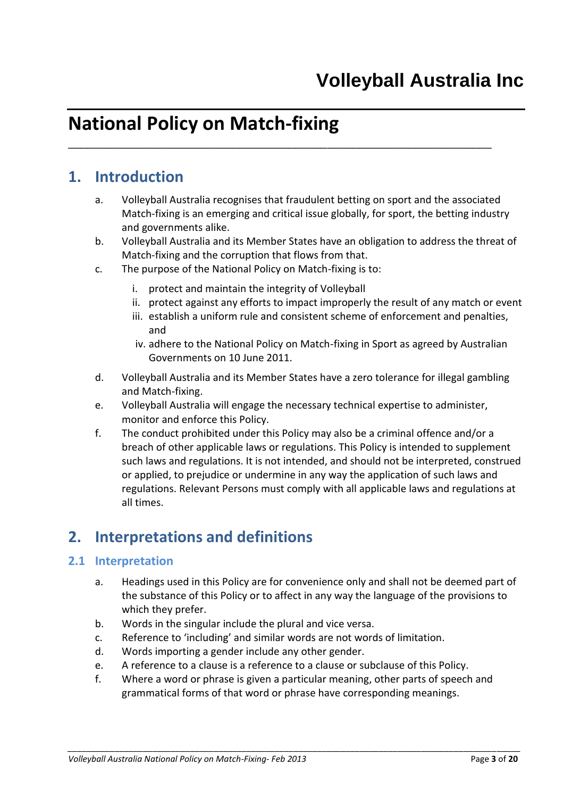# **National Policy on Match-fixing**

# **1. Introduction**

a. Volleyball Australia recognises that fraudulent betting on sport and the associated Match-fixing is an emerging and critical issue globally, for sport, the betting industry and governments alike.

<span id="page-2-0"></span>\_\_\_\_\_\_\_\_\_\_\_\_\_\_\_\_\_\_\_\_\_\_\_\_\_\_\_\_\_\_\_\_\_\_\_\_\_\_\_\_\_\_\_\_\_\_\_\_\_\_\_\_\_\_\_\_\_\_\_\_\_\_\_\_\_\_\_

- b. Volleyball Australia and its Member States have an obligation to address the threat of Match-fixing and the corruption that flows from that.
- c. The purpose of the National Policy on Match-fixing is to:
	- i. protect and maintain the integrity of Volleyball
	- ii. protect against any efforts to impact improperly the result of any match or event
	- iii. establish a uniform rule and consistent scheme of enforcement and penalties, and
	- iv. adhere to the National Policy on Match-fixing in Sport as agreed by Australian Governments on 10 June 2011.
- d. Volleyball Australia and its Member States have a zero tolerance for illegal gambling and Match-fixing.
- e. Volleyball Australia will engage the necessary technical expertise to administer, monitor and enforce this Policy.
- f. The conduct prohibited under this Policy may also be a criminal offence and/or a breach of other applicable laws or regulations. This Policy is intended to supplement such laws and regulations. It is not intended, and should not be interpreted, construed or applied, to prejudice or undermine in any way the application of such laws and regulations. Relevant Persons must comply with all applicable laws and regulations at all times.

# <span id="page-2-1"></span>**2. Interpretations and definitions**

#### <span id="page-2-2"></span>**2.1 Interpretation**

- a. Headings used in this Policy are for convenience only and shall not be deemed part of the substance of this Policy or to affect in any way the language of the provisions to which they prefer.
- b. Words in the singular include the plural and vice versa.
- c. Reference to 'including' and similar words are not words of limitation.
- d. Words importing a gender include any other gender.
- e. A reference to a clause is a reference to a clause or subclause of this Policy.
- f. Where a word or phrase is given a particular meaning, other parts of speech and grammatical forms of that word or phrase have corresponding meanings.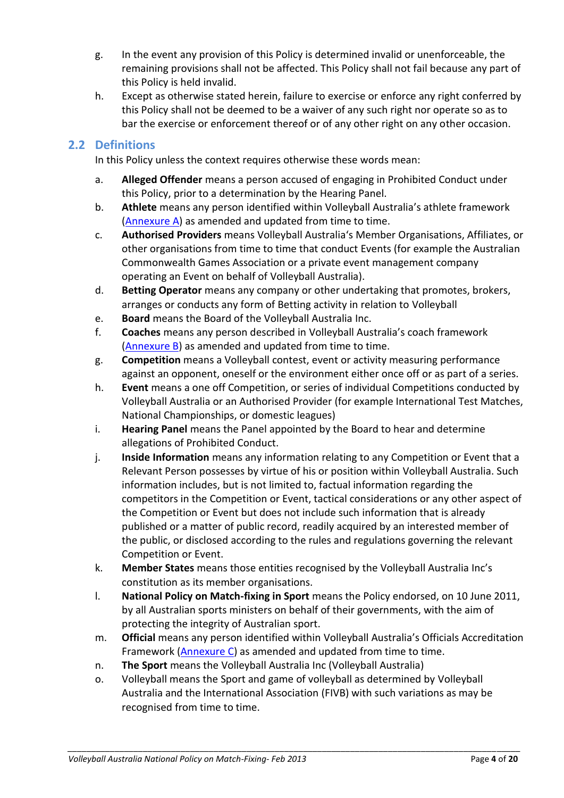- g. In the event any provision of this Policy is determined invalid or unenforceable, the remaining provisions shall not be affected. This Policy shall not fail because any part of this Policy is held invalid.
- h. Except as otherwise stated herein, failure to exercise or enforce any right conferred by this Policy shall not be deemed to be a waiver of any such right nor operate so as to bar the exercise or enforcement thereof or of any other right on any other occasion.

### <span id="page-3-0"></span>**2.2 Definitions**

In this Policy unless the context requires otherwise these words mean:

- a. **Alleged Offender** means a person accused of engaging in Prohibited Conduct under this Policy, prior to a determination by the Hearing Panel.
- b. **Athlete** means any person identified within Volleyball Australia's athlete framework [\(Annexure](#page-13-1) A) as amended and updated from time to time.
- c. **Authorised Providers** means Volleyball Australia's Member Organisations, Affiliates, or other organisations from time to time that conduct Events (for example the Australian Commonwealth Games Association or a private event management company operating an Event on behalf of Volleyball Australia).
- d. **Betting Operator** means any company or other undertaking that promotes, brokers, arranges or conducts any form of Betting activity in relation to Volleyball
- e. **Board** means the Board of the Volleyball Australia Inc.
- f. **Coaches** means any person described in Volleyball Australia's coach framework [\(Annexure B\)](#page-14-1) as amended and updated from time to time.
- g. **Competition** means a Volleyball contest, event or activity measuring performance against an opponent, oneself or the environment either once off or as part of a series.
- h. **Event** means a one off Competition, or series of individual Competitions conducted by Volleyball Australia or an Authorised Provider (for example International Test Matches, National Championships, or domestic leagues)
- i. **Hearing Panel** means the Panel appointed by the Board to hear and determine allegations of Prohibited Conduct.
- j. **Inside Information** means any information relating to any Competition or Event that a Relevant Person possesses by virtue of his or position within Volleyball Australia. Such information includes, but is not limited to, factual information regarding the competitors in the Competition or Event, tactical considerations or any other aspect of the Competition or Event but does not include such information that is already published or a matter of public record, readily acquired by an interested member of the public, or disclosed according to the rules and regulations governing the relevant Competition or Event.
- k. **Member States** means those entities recognised by the Volleyball Australia Inc's constitution as its member organisations.
- l. **National Policy on Match-fixing in Sport** means the Policy endorsed, on 10 June 2011, by all Australian sports ministers on behalf of their governments, with the aim of protecting the integrity of Australian sport.
- m. **Official** means any person identified within Volleyball Australia's Officials Accreditation Framework [\(Annexure C\)](#page-14-3) as amended and updated from time to time.
- n. **The Sport** means the Volleyball Australia Inc (Volleyball Australia)
- o. Volleyball means the Sport and game of volleyball as determined by Volleyball Australia and the International Association (FIVB) with such variations as may be recognised from time to time.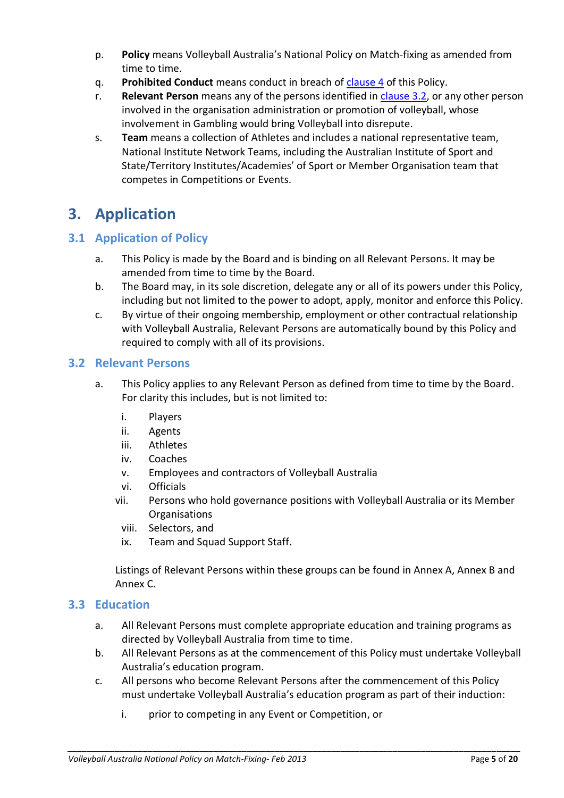- p. **Policy** means Volleyball Australia's National Policy on Match-fixing as amended from time to time.
- q. **Prohibited Conduct** means conduct in breach of [clause](#page-5-1) 4 of this Policy.
- r. **Relevant Person** means any of the persons identified in [clause](#page-4-2) 3.2, or any other person involved in the organisation administration or promotion of volleyball, whose involvement in Gambling would bring Volleyball into disrepute.
- s. **Team** means a collection of Athletes and includes a national representative team, National Institute Network Teams, including the Australian Institute of Sport and State/Territory Institutes/Academies' of Sport or Member Organisation team that competes in Competitions or Events.

# <span id="page-4-0"></span>**3. Application**

## <span id="page-4-1"></span>**3.1 Application of Policy**

- a. This Policy is made by the Board and is binding on all Relevant Persons. It may be amended from time to time by the Board.
- b. The Board may, in its sole discretion, delegate any or all of its powers under this Policy, including but not limited to the power to adopt, apply, monitor and enforce this Policy.
- c. By virtue of their ongoing membership, employment or other contractual relationship with Volleyball Australia, Relevant Persons are automatically bound by this Policy and required to comply with all of its provisions.

#### <span id="page-4-2"></span>**3.2 Relevant Persons**

- a. This Policy applies to any Relevant Person as defined from time to time by the Board. For clarity this includes, but is not limited to:
	- i. Players
	- ii. Agents
	- iii. Athletes
	- iv. Coaches
	- v. Employees and contractors of Volleyball Australia
	- vi. Officials
	- vii. Persons who hold governance positions with Volleyball Australia or its Member Organisations
		- viii. Selectors, and
		- ix. Team and Squad Support Staff.

Listings of Relevant Persons within these groups can be found in Annex A, Annex B and Annex C.

#### <span id="page-4-3"></span>**3.3 Education**

- a. All Relevant Persons must complete appropriate education and training programs as directed by Volleyball Australia from time to time.
- b. All Relevant Persons as at the commencement of this Policy must undertake Volleyball Australia's education program.
- c. All persons who become Relevant Persons after the commencement of this Policy must undertake Volleyball Australia's education program as part of their induction:

*\_\_\_\_\_\_\_\_\_\_\_\_\_\_\_\_\_\_\_\_\_\_\_\_\_\_\_\_\_\_\_\_\_\_\_\_\_\_\_\_\_\_\_\_\_\_\_\_\_\_\_\_\_\_\_\_\_\_\_\_\_\_\_\_\_\_\_\_\_\_\_\_\_\_\_\_\_\_\_\_\_\_\_\_\_\_\_\_\_\_\_\_\_\_\_\_*

i. prior to competing in any Event or Competition, or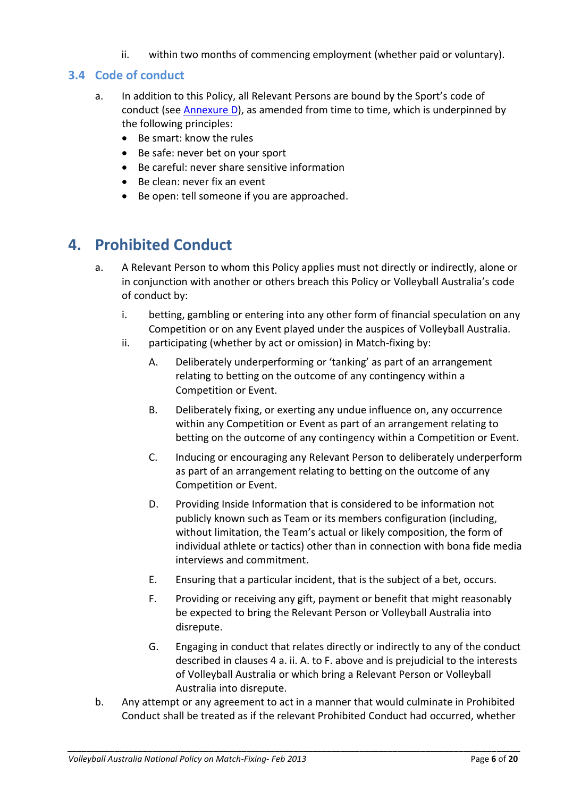ii. within two months of commencing employment (whether paid or voluntary).

## <span id="page-5-0"></span>**3.4 Code of conduct**

- a. In addition to this Policy, all Relevant Persons are bound by the Sport's code of conduct (see [Annexure](#page-14-4) D), as amended from time to time, which is underpinned by the following principles:
	- Be smart: know the rules
	- Be safe: never bet on your sport
	- Be careful: never share sensitive information
	- Be clean: never fix an event
	- Be open: tell someone if you are approached.

# <span id="page-5-1"></span>**4. Prohibited Conduct**

- a. A Relevant Person to whom this Policy applies must not directly or indirectly, alone or in conjunction with another or others breach this Policy or Volleyball Australia's [code](#page-14-4)  [of conduct](#page-14-4) by:
	- i. betting, gambling or entering into any other form of financial speculation on any Competition or on any Event played under the auspices of Volleyball Australia.
	- ii. participating (whether by act or omission) in Match-fixing by:
		- A. Deliberately underperforming or 'tanking' as part of an arrangement relating to betting on the outcome of any contingency within a Competition or Event.
		- B. Deliberately fixing, or exerting any undue influence on, any occurrence within any Competition or Event as part of an arrangement relating to betting on the outcome of any contingency within a Competition or Event.
		- C. Inducing or encouraging any Relevant Person to deliberately underperform as part of an arrangement relating to betting on the outcome of any Competition or Event.
		- D. Providing Inside Information that is considered to be information not publicly known such as Team or its members configuration (including, without limitation, the Team's actual or likely composition, the form of individual athlete or tactics) other than in connection with bona fide media interviews and commitment.
		- E. Ensuring that a particular incident, that is the subject of a bet, occurs.
		- F. Providing or receiving any gift, payment or benefit that might reasonably be expected to bring the Relevant Person or Volleyball Australia into disrepute.
		- G. Engaging in conduct that relates directly or indirectly to any of the conduct described in clauses 4 a. ii. A. to F. above and is prejudicial to the interests of Volleyball Australia or which bring a Relevant Person or Volleyball Australia into disrepute.
- b. Any attempt or any agreement to act in a manner that would culminate in Prohibited Conduct shall be treated as if the relevant Prohibited Conduct had occurred, whether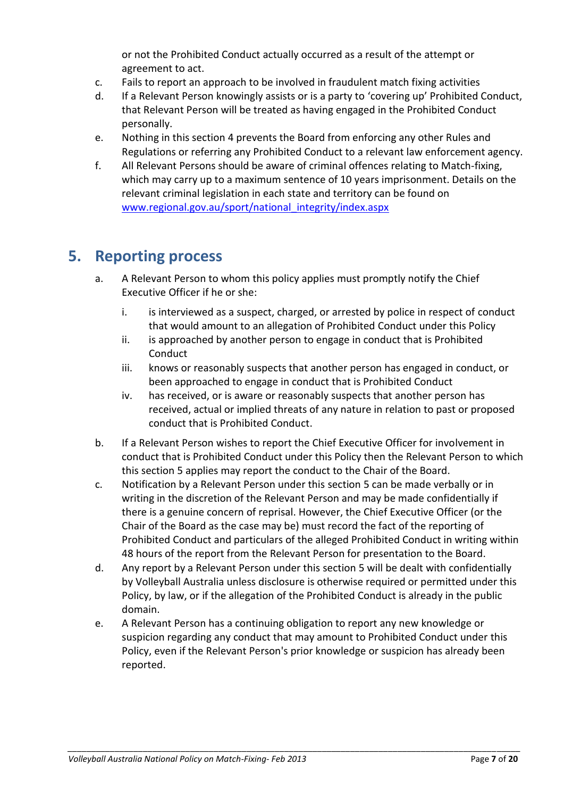or not the Prohibited Conduct actually occurred as a result of the attempt or agreement to act.

- c. Fails to report an approach to be involved in fraudulent match fixing activities
- d. If a Relevant Person knowingly assists or is a party to 'covering up' Prohibited Conduct, that Relevant Person will be treated as having engaged in the Prohibited Conduct personally.
- e. Nothing in this section 4 prevents the Board from enforcing any other Rules and Regulations or referring any Prohibited Conduct to a relevant law enforcement agency.
- f. All Relevant Persons should be aware of criminal offences relating to Match-fixing, which may carry up to a maximum sentence of 10 years imprisonment. Details on the relevant criminal legislation in each state and territory can be found on [www.regional.gov.au/sport/national\\_integrity/index.aspx](http://www.regional.gov.au/sport/national_integrity/index.aspx)

# <span id="page-6-0"></span>**5. Reporting process**

- a. A Relevant Person to whom this policy applies must promptly notify the Chief Executive Officer if he or she:
	- i. is interviewed as a suspect, charged, or arrested by police in respect of conduct that would amount to an allegation of Prohibited Conduct under this Policy
	- ii. is approached by another person to engage in conduct that is Prohibited **Conduct**
	- iii. knows or reasonably suspects that another person has engaged in conduct, or been approached to engage in conduct that is Prohibited Conduct
	- iv. has received, or is aware or reasonably suspects that another person has received, actual or implied threats of any nature in relation to past or proposed conduct that is Prohibited Conduct.
- b. If a Relevant Person wishes to report the Chief Executive Officer for involvement in conduct that is Prohibited Conduct under this Policy then the Relevant Person to which this section 5 applies may report the conduct to the Chair of the Board.
- c. Notification by a Relevant Person under this section 5 can be made verbally or in writing in the discretion of the Relevant Person and may be made confidentially if there is a genuine concern of reprisal. However, the Chief Executive Officer (or the Chair of the Board as the case may be) must record the fact of the reporting of Prohibited Conduct and particulars of the alleged Prohibited Conduct in writing within 48 hours of the report from the Relevant Person for presentation to the Board.
- d. Any report by a Relevant Person under this section 5 will be dealt with confidentially by Volleyball Australia unless disclosure is otherwise required or permitted under this Policy, by law, or if the allegation of the Prohibited Conduct is already in the public domain.
- e. A Relevant Person has a continuing obligation to report any new knowledge or suspicion regarding any conduct that may amount to Prohibited Conduct under this Policy, even if the Relevant Person's prior knowledge or suspicion has already been reported.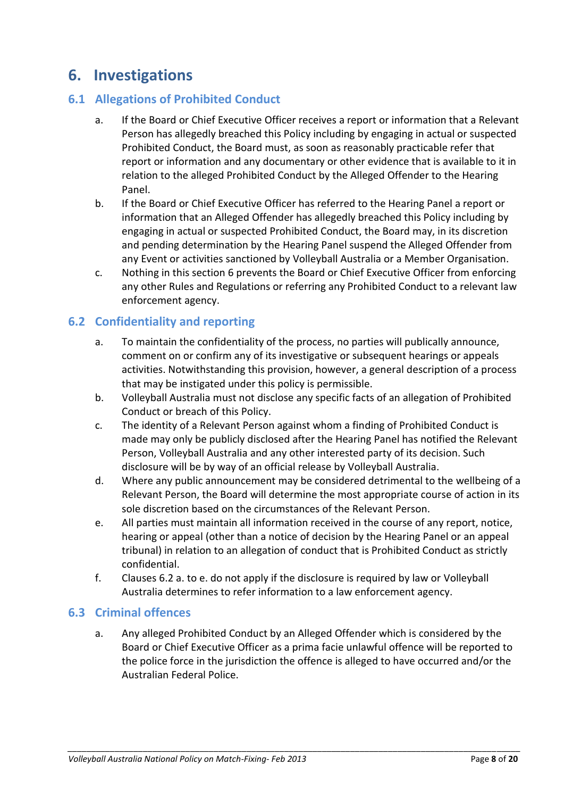# <span id="page-7-0"></span>**6. Investigations**

## <span id="page-7-1"></span>**6.1 Allegations of Prohibited Conduct**

- a. If the Board or Chief Executive Officer receives a report or information that a Relevant Person has allegedly breached this Policy including by engaging in actual or suspected Prohibited Conduct, the Board must, as soon as reasonably practicable refer that report or information and any documentary or other evidence that is available to it in relation to the alleged Prohibited Conduct by the Alleged Offender to the Hearing Panel.
- b. If the Board or Chief Executive Officer has referred to the Hearing Panel a report or information that an Alleged Offender has allegedly breached this Policy including by engaging in actual or suspected Prohibited Conduct, the Board may, in its discretion and pending determination by the Hearing Panel suspend the Alleged Offender from any Event or activities sanctioned by Volleyball Australia or a Member Organisation.
- c. Nothing in this section 6 prevents the Board or Chief Executive Officer from enforcing any other Rules and Regulations or referring any Prohibited Conduct to a relevant law enforcement agency.

### <span id="page-7-2"></span>**6.2 Confidentiality and reporting**

- a. To maintain the confidentiality of the process, no parties will publically announce, comment on or confirm any of its investigative or subsequent hearings or appeals activities. Notwithstanding this provision, however, a general description of a process that may be instigated under this policy is permissible.
- b. Volleyball Australia must not disclose any specific facts of an allegation of Prohibited Conduct or breach of this Policy.
- c. The identity of a Relevant Person against whom a finding of Prohibited Conduct is made may only be publicly disclosed after the Hearing Panel has notified the Relevant Person, Volleyball Australia and any other interested party of its decision. Such disclosure will be by way of an official release by Volleyball Australia.
- d. Where any public announcement may be considered detrimental to the wellbeing of a Relevant Person, the Board will determine the most appropriate course of action in its sole discretion based on the circumstances of the Relevant Person.
- e. All parties must maintain all information received in the course of any report, notice, hearing or appeal (other than a notice of decision by the Hearing Panel or an appeal tribunal) in relation to an allegation of conduct that is Prohibited Conduct as strictly confidential.
- f. Clauses 6.2 a. to e. do not apply if the disclosure is required by law or Volleyball Australia determines to refer information to a law enforcement agency.

#### <span id="page-7-3"></span>**6.3 Criminal offences**

a. Any alleged Prohibited Conduct by an Alleged Offender which is considered by the Board or Chief Executive Officer as a prima facie unlawful offence will be reported to the police force in the jurisdiction the offence is alleged to have occurred and/or the Australian Federal Police.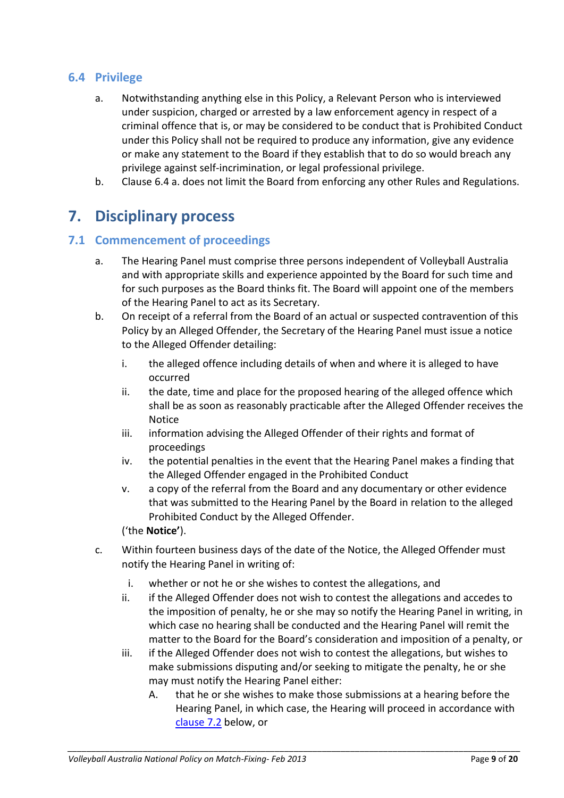### <span id="page-8-0"></span>**6.4 Privilege**

- a. Notwithstanding anything else in this Policy, a Relevant Person who is interviewed under suspicion, charged or arrested by a law enforcement agency in respect of a criminal offence that is, or may be considered to be conduct that is Prohibited Conduct under this Policy shall not be required to produce any information, give any evidence or make any statement to the Board if they establish that to do so would breach any privilege against self-incrimination, or legal professional privilege.
- b. Clause 6.4 a. does not limit the Board from enforcing any other Rules and Regulations.

# <span id="page-8-1"></span>**7. Disciplinary process**

#### <span id="page-8-2"></span>**7.1 Commencement of proceedings**

- a. The Hearing Panel must comprise three persons independent of Volleyball Australia and with appropriate skills and experience appointed by the Board for such time and for such purposes as the Board thinks fit. The Board will appoint one of the members of the Hearing Panel to act as its Secretary.
- b. On receipt of a referral from the Board of an actual or suspected contravention of this Policy by an Alleged Offender, the Secretary of the Hearing Panel must issue a notice to the Alleged Offender detailing:
	- i. the alleged offence including details of when and where it is alleged to have occurred
	- ii. the date, time and place for the proposed hearing of the alleged offence which shall be as soon as reasonably practicable after the Alleged Offender receives the Notice
	- iii. information advising the Alleged Offender of their rights and format of proceedings
	- iv. the potential penalties in the event that the Hearing Panel makes a finding that the Alleged Offender engaged in the Prohibited Conduct
	- v. a copy of the referral from the Board and any documentary or other evidence that was submitted to the Hearing Panel by the Board in relation to the alleged Prohibited Conduct by the Alleged Offender.

('the **Notice'**).

- c. Within fourteen business days of the date of the Notice, the Alleged Offender must notify the Hearing Panel in writing of:
	- i. whether or not he or she wishes to contest the allegations, and
	- ii. if the Alleged Offender does not wish to contest the allegations and accedes to the imposition of penalty, he or she may so notify the Hearing Panel in writing, in which case no hearing shall be conducted and the Hearing Panel will remit the matter to the Board for the Board's consideration and imposition of a penalty, or
	- iii. if the Alleged Offender does not wish to contest the allegations, but wishes to make submissions disputing and/or seeking to mitigate the penalty, he or she may must notify the Hearing Panel either:
		- A. that he or she wishes to make those submissions at a hearing before the Hearing Panel, in which case, the Hearing will proceed in accordance with [clause](#page-9-0) 7.2 below, or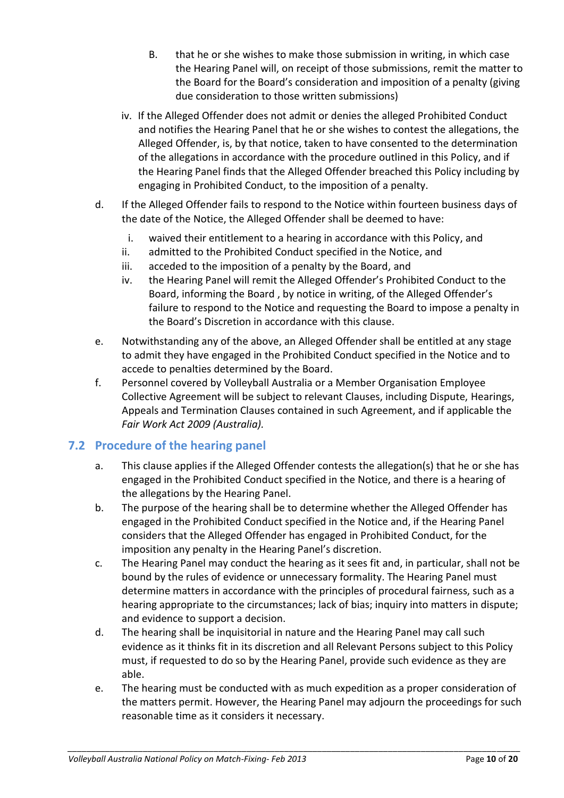- B. that he or she wishes to make those submission in writing, in which case the Hearing Panel will, on receipt of those submissions, remit the matter to the Board for the Board's consideration and imposition of a penalty (giving due consideration to those written submissions)
- iv. If the Alleged Offender does not admit or denies the alleged Prohibited Conduct and notifies the Hearing Panel that he or she wishes to contest the allegations, the Alleged Offender, is, by that notice, taken to have consented to the determination of the allegations in accordance with the procedure outlined in this Policy, and if the Hearing Panel finds that the Alleged Offender breached this Policy including by engaging in Prohibited Conduct, to the imposition of a penalty.
- d. If the Alleged Offender fails to respond to the Notice within fourteen business days of the date of the Notice, the Alleged Offender shall be deemed to have:
	- i. waived their entitlement to a hearing in accordance with this Policy, and
	- ii. admitted to the Prohibited Conduct specified in the Notice, and
	- iii. acceded to the imposition of a penalty by the Board, and
	- iv. the Hearing Panel will remit the Alleged Offender's Prohibited Conduct to the Board, informing the Board , by notice in writing, of the Alleged Offender's failure to respond to the Notice and requesting the Board to impose a penalty in the Board's Discretion in accordance with this clause.
- e. Notwithstanding any of the above, an Alleged Offender shall be entitled at any stage to admit they have engaged in the Prohibited Conduct specified in the Notice and to accede to penalties determined by the Board.
- f. Personnel covered by Volleyball Australia or a Member Organisation Employee Collective Agreement will be subject to relevant Clauses, including Dispute, Hearings, Appeals and Termination Clauses contained in such Agreement, and if applicable the *Fair Work Act 2009 (Australia).*

#### <span id="page-9-0"></span>**7.2 Procedure of the hearing panel**

- a. This clause applies if the Alleged Offender contests the allegation(s) that he or she has engaged in the Prohibited Conduct specified in the Notice, and there is a hearing of the allegations by the Hearing Panel.
- b. The purpose of the hearing shall be to determine whether the Alleged Offender has engaged in the Prohibited Conduct specified in the Notice and, if the Hearing Panel considers that the Alleged Offender has engaged in Prohibited Conduct, for the imposition any penalty in the Hearing Panel's discretion.
- c. The Hearing Panel may conduct the hearing as it sees fit and, in particular, shall not be bound by the rules of evidence or unnecessary formality. The Hearing Panel must determine matters in accordance with the principles of procedural fairness, such as a hearing appropriate to the circumstances; lack of bias; inquiry into matters in dispute; and evidence to support a decision.
- d. The hearing shall be inquisitorial in nature and the Hearing Panel may call such evidence as it thinks fit in its discretion and all Relevant Persons subject to this Policy must, if requested to do so by the Hearing Panel, provide such evidence as they are able.
- e. The hearing must be conducted with as much expedition as a proper consideration of the matters permit. However, the Hearing Panel may adjourn the proceedings for such reasonable time as it considers it necessary.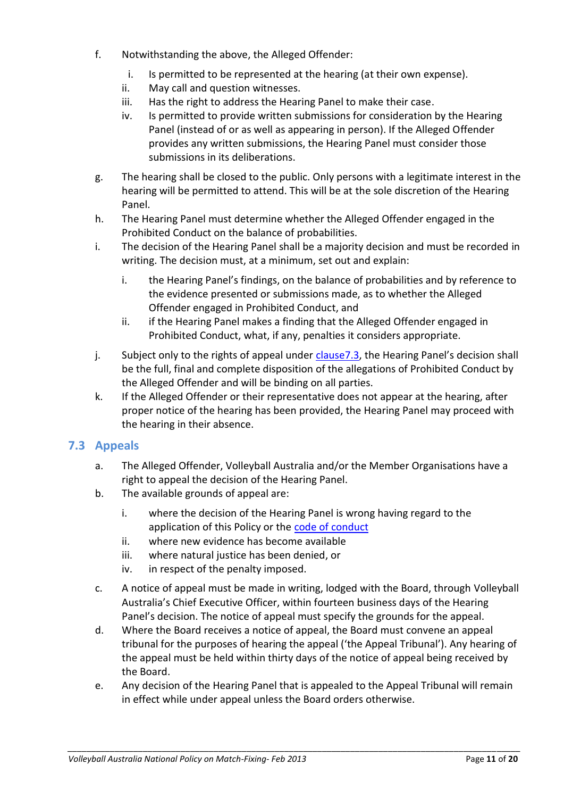- f. Notwithstanding the above, the Alleged Offender:
	- i. Is permitted to be represented at the hearing (at their own expense).
	- ii. May call and question witnesses.
	- iii. Has the right to address the Hearing Panel to make their case.
	- iv. Is permitted to provide written submissions for consideration by the Hearing Panel (instead of or as well as appearing in person). If the Alleged Offender provides any written submissions, the Hearing Panel must consider those submissions in its deliberations.
- g. The hearing shall be closed to the public. Only persons with a legitimate interest in the hearing will be permitted to attend. This will be at the sole discretion of the Hearing Panel.
- h. The Hearing Panel must determine whether the Alleged Offender engaged in the Prohibited Conduct on the balance of probabilities.
- i. The decision of the Hearing Panel shall be a majority decision and must be recorded in writing. The decision must, at a minimum, set out and explain:
	- i. the Hearing Panel's findings, on the balance of probabilities and by reference to the evidence presented or submissions made, as to whether the Alleged Offender engaged in Prohibited Conduct, and
	- ii. if the Hearing Panel makes a finding that the Alleged Offender engaged in Prohibited Conduct, what, if any, penalties it considers appropriate.
- j. Subject only to the rights of appeal under clause 7.3, the Hearing Panel's decision shall be the full, final and complete disposition of the allegations of Prohibited Conduct by the Alleged Offender and will be binding on all parties.
- k. If the Alleged Offender or their representative does not appear at the hearing, after proper notice of the hearing has been provided, the Hearing Panel may proceed with the hearing in their absence.

## <span id="page-10-0"></span>**7.3 Appeals**

- a. The Alleged Offender, Volleyball Australia and/or the Member Organisations have a right to appeal the decision of the Hearing Panel.
- b. The available grounds of appeal are:
	- i. where the decision of the Hearing Panel is wrong having regard to the application of this Policy or the [code of conduct](#page-14-4)
	- ii. where new evidence has become available
	- iii. where natural justice has been denied, or
	- iv. in respect of the penalty imposed.
- c. A notice of appeal must be made in writing, lodged with the Board, through Volleyball Australia's Chief Executive Officer, within fourteen business days of the Hearing Panel's decision. The notice of appeal must specify the grounds for the appeal.
- d. Where the Board receives a notice of appeal, the Board must convene an appeal tribunal for the purposes of hearing the appeal ('the Appeal Tribunal'). Any hearing of the appeal must be held within thirty days of the notice of appeal being received by the Board.
- e. Any decision of the Hearing Panel that is appealed to the Appeal Tribunal will remain in effect while under appeal unless the Board orders otherwise.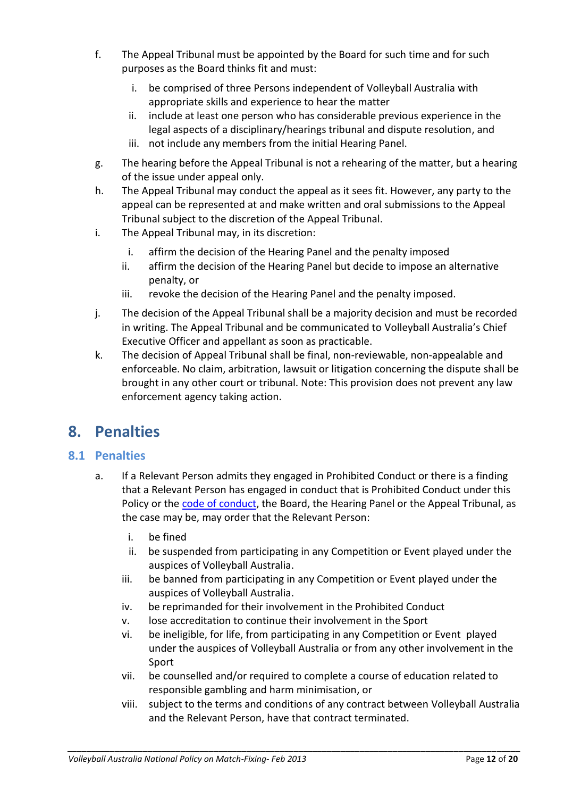- f. The Appeal Tribunal must be appointed by the Board for such time and for such purposes as the Board thinks fit and must:
	- i. be comprised of three Persons independent of Volleyball Australia with appropriate skills and experience to hear the matter
	- ii. include at least one person who has considerable previous experience in the legal aspects of a disciplinary/hearings tribunal and dispute resolution, and
	- iii. not include any members from the initial Hearing Panel.
- g. The hearing before the Appeal Tribunal is not a rehearing of the matter, but a hearing of the issue under appeal only.
- h. The Appeal Tribunal may conduct the appeal as it sees fit. However, any party to the appeal can be represented at and make written and oral submissions to the Appeal Tribunal subject to the discretion of the Appeal Tribunal.
- i. The Appeal Tribunal may, in its discretion:
	- i. affirm the decision of the Hearing Panel and the penalty imposed
	- ii. affirm the decision of the Hearing Panel but decide to impose an alternative penalty, or
	- iii. revoke the decision of the Hearing Panel and the penalty imposed.
- j. The decision of the Appeal Tribunal shall be a majority decision and must be recorded in writing. The Appeal Tribunal and be communicated to Volleyball Australia's Chief Executive Officer and appellant as soon as practicable.
- k. The decision of Appeal Tribunal shall be final, non-reviewable, non-appealable and enforceable. No claim, arbitration, lawsuit or litigation concerning the dispute shall be brought in any other court or tribunal. Note: This provision does not prevent any law enforcement agency taking action.

# <span id="page-11-0"></span>**8. Penalties**

## <span id="page-11-2"></span><span id="page-11-1"></span>**8.1 Penalties**

- a. If a Relevant Person admits they engaged in Prohibited Conduct or there is a finding that a Relevant Person has engaged in conduct that is Prohibited Conduct under this Policy or the [code of conduct,](#page-14-4) the Board, the Hearing Panel or the Appeal Tribunal, as the case may be, may order that the Relevant Person:
	- i. be fined
	- ii. be suspended from participating in any Competition or Event played under the auspices of Volleyball Australia.
	- iii. be banned from participating in any Competition or Event played under the auspices of Volleyball Australia.
	- iv. be reprimanded for their involvement in the Prohibited Conduct
	- v. lose accreditation to continue their involvement in the Sport
	- vi. be ineligible, for life, from participating in any Competition or Event played under the auspices of Volleyball Australia or from any other involvement in the Sport
	- vii. be counselled and/or required to complete a course of education related to responsible gambling and harm minimisation, or
	- viii. subject to the terms and conditions of any contract between Volleyball Australia and the Relevant Person, have that contract terminated.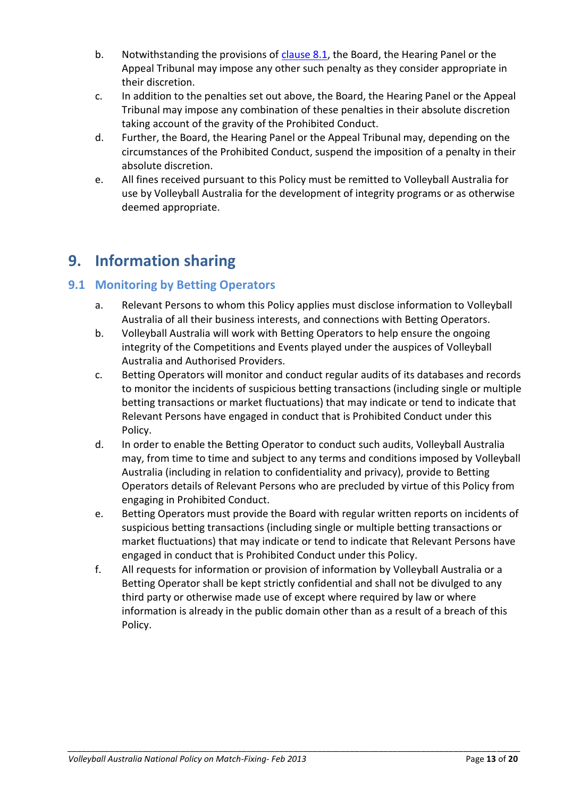- b. Notwithstanding the provisions of [clause 8.1,](#page-11-2) the Board, the Hearing Panel or the Appeal Tribunal may impose any other such penalty as they consider appropriate in their discretion.
- c. In addition to the penalties set out above, the Board, the Hearing Panel or the Appeal Tribunal may impose any combination of these penalties in their absolute discretion taking account of the gravity of the Prohibited Conduct.
- d. Further, the Board, the Hearing Panel or the Appeal Tribunal may, depending on the circumstances of the Prohibited Conduct, suspend the imposition of a penalty in their absolute discretion.
- e. All fines received pursuant to this Policy must be remitted to Volleyball Australia for use by Volleyball Australia for the development of integrity programs or as otherwise deemed appropriate.

# <span id="page-12-0"></span>**9. Information sharing**

## <span id="page-12-1"></span>**9.1 Monitoring by Betting Operators**

- a. Relevant Persons to whom this Policy applies must disclose information to Volleyball Australia of all their business interests, and connections with Betting Operators.
- b. Volleyball Australia will work with Betting Operators to help ensure the ongoing integrity of the Competitions and Events played under the auspices of Volleyball Australia and Authorised Providers.
- c. Betting Operators will monitor and conduct regular audits of its databases and records to monitor the incidents of suspicious betting transactions (including single or multiple betting transactions or market fluctuations) that may indicate or tend to indicate that Relevant Persons have engaged in conduct that is Prohibited Conduct under this Policy.
- d. In order to enable the Betting Operator to conduct such audits, Volleyball Australia may, from time to time and subject to any terms and conditions imposed by Volleyball Australia (including in relation to confidentiality and privacy), provide to Betting Operators details of Relevant Persons who are precluded by virtue of this Policy from engaging in Prohibited Conduct.
- e. Betting Operators must provide the Board with regular written reports on incidents of suspicious betting transactions (including single or multiple betting transactions or market fluctuations) that may indicate or tend to indicate that Relevant Persons have engaged in conduct that is Prohibited Conduct under this Policy.
- f. All requests for information or provision of information by Volleyball Australia or a Betting Operator shall be kept strictly confidential and shall not be divulged to any third party or otherwise made use of except where required by law or where information is already in the public domain other than as a result of a breach of this Policy.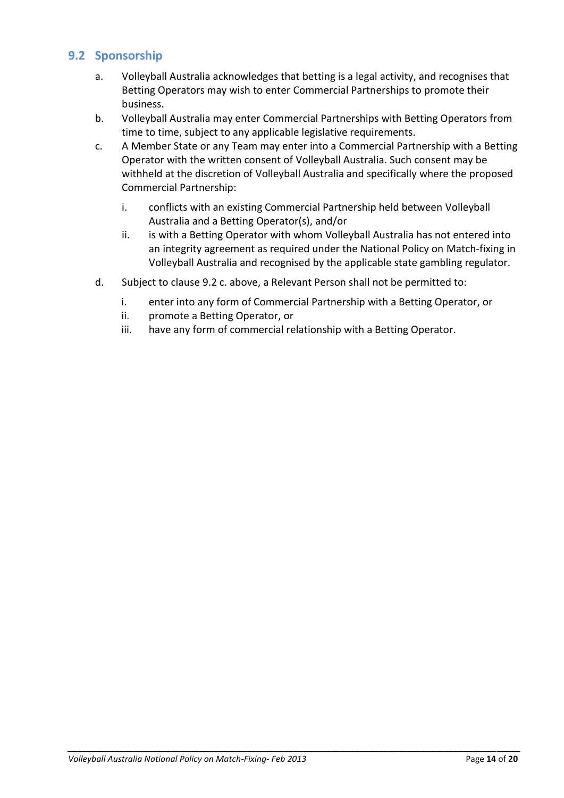### <span id="page-13-0"></span>**9.2 Sponsorship**

- a. Volleyball Australia acknowledges that betting is a legal activity, and recognises that Betting Operators may wish to enter Commercial Partnerships to promote their business.
- b. Volleyball Australia may enter Commercial Partnerships with Betting Operators from time to time, subject to any applicable legislative requirements.
- c. A Member State or any Team may enter into a Commercial Partnership with a Betting Operator with the written consent of Volleyball Australia. Such consent may be withheld at the discretion of Volleyball Australia and specifically where the proposed Commercial Partnership:
	- i. conflicts with an existing Commercial Partnership held between Volleyball Australia and a Betting Operator(s), and/or
	- ii. is with a Betting Operator with whom Volleyball Australia has not entered into an integrity agreement as required under the National Policy on Match-fixing in Volleyball Australia and recognised by the applicable state gambling regulator.
- <span id="page-13-1"></span>d. Subject to clause 9.2 c. above, a Relevant Person shall not be permitted to:
	- i. enter into any form of Commercial Partnership with a Betting Operator, or
	- ii. promote a Betting Operator, or
	- iii. have any form of commercial relationship with a Betting Operator.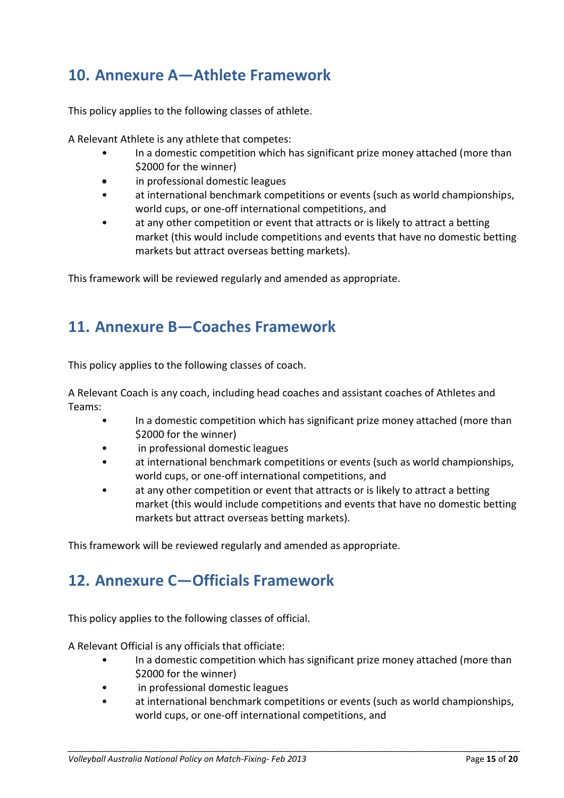# <span id="page-14-0"></span>**10. Annexure A—Athlete Framework**

This policy applies to the following classes of athlete.

A Relevant Athlete is any athlete that competes:

- In a domestic competition which has significant prize money attached (more than \$2000 for the winner)
- in professional domestic leagues
- at international benchmark competitions or events (such as world championships, world cups, or one-off international competitions, and
- at any other competition or event that attracts or is likely to attract a betting market (this would include competitions and events that have no domestic betting markets but attract overseas betting markets).

This framework will be reviewed regularly and amended as appropriate.

# <span id="page-14-1"></span>**11. Annexure B—Coaches Framework**

<span id="page-14-3"></span>This policy applies to the following classes of coach.

A Relevant Coach is any coach, including head coaches and assistant coaches of Athletes and Teams:

- In a domestic competition which has significant prize money attached (more than \$2000 for the winner)
- in professional domestic leagues
- at international benchmark competitions or events (such as world championships, world cups, or one-off international competitions, and
- at any other competition or event that attracts or is likely to attract a betting market (this would include competitions and events that have no domestic betting markets but attract overseas betting markets).

<span id="page-14-2"></span>This framework will be reviewed regularly and amended as appropriate.

# **12. Annexure C—Officials Framework**

<span id="page-14-4"></span>This policy applies to the following classes of official.

A Relevant Official is any officials that officiate:

- In a domestic competition which has significant prize money attached (more than \$2000 for the winner)
- in professional domestic leagues
- at international benchmark competitions or events (such as world championships, world cups, or one-off international competitions, and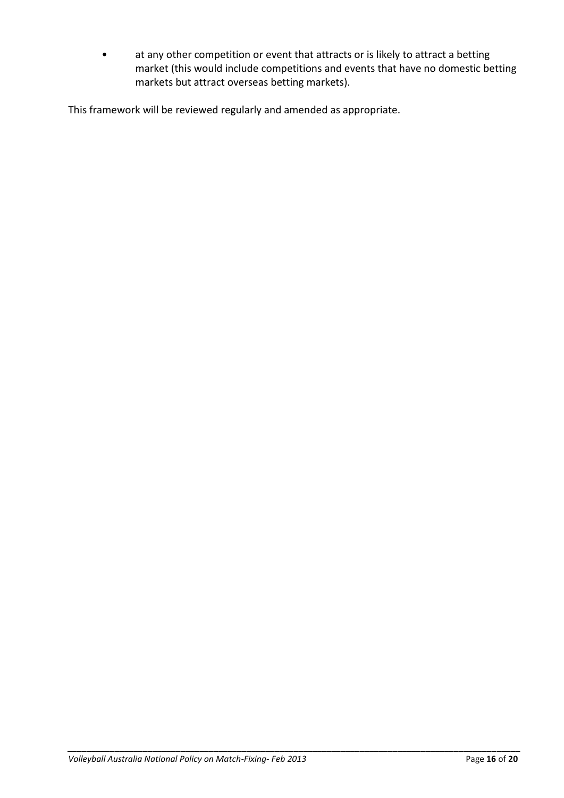• at any other competition or event that attracts or is likely to attract a betting market (this would include competitions and events that have no domestic betting markets but attract overseas betting markets).

This framework will be reviewed regularly and amended as appropriate.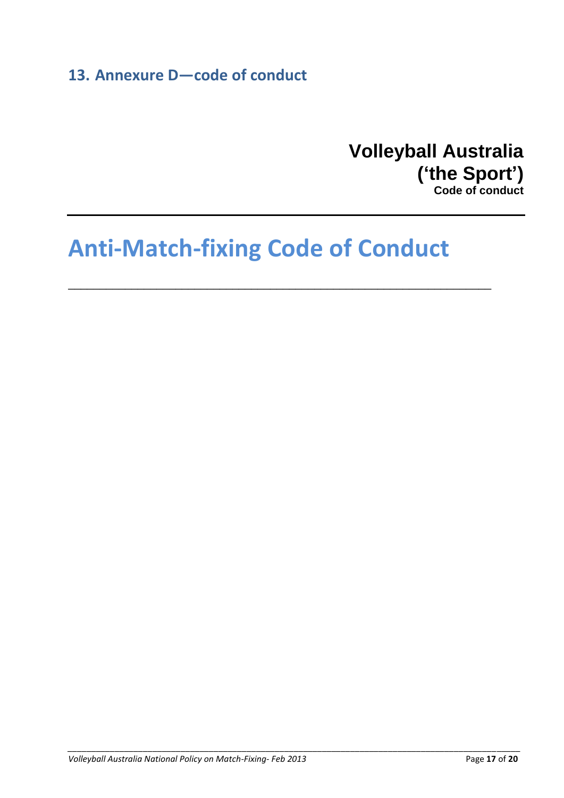# <span id="page-16-0"></span>**13. Annexure D—code of conduct**

# **Volleyball Australia ('the Sport')**

**Code of conduct**

# **Anti-Match-fixing Code of Conduct**

\_\_\_\_\_\_\_\_\_\_\_\_\_\_\_\_\_\_\_\_\_\_\_\_\_\_\_\_\_\_\_\_\_\_\_\_\_\_\_\_\_\_\_\_\_\_\_\_\_\_\_\_\_\_\_\_\_\_\_\_\_\_\_\_\_\_\_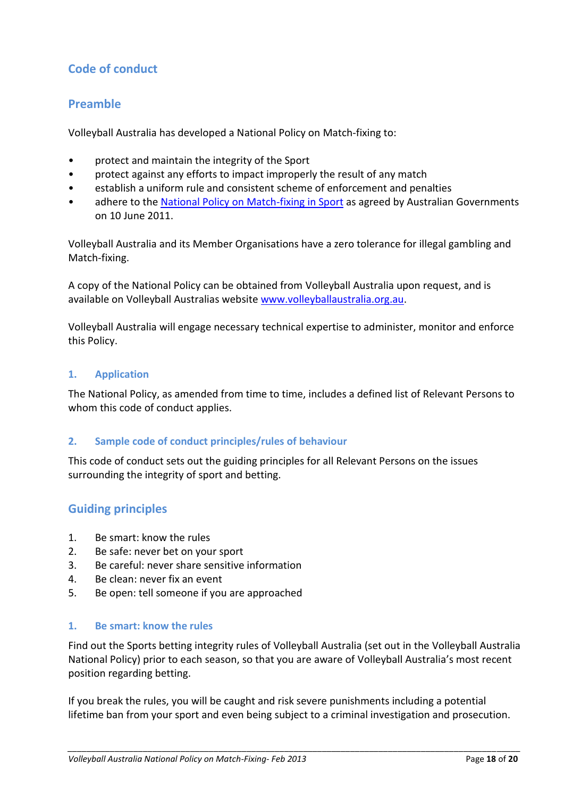# **Code of conduct**

### <span id="page-17-0"></span>**Preamble**

Volleyball Australia has developed a National Policy on Match-fixing to:

- protect and maintain the integrity of the Sport
- protect against any efforts to impact improperly the result of any match
- establish a uniform rule and consistent scheme of enforcement and penalties
- adhere to the [National Policy on Match-fixing](http://www.regional.gov.au/sport/national_integrity/policy.aspx) in Sport as agreed by Australian Governments on 10 June 2011.

Volleyball Australia and its Member Organisations have a zero tolerance for illegal gambling and Match-fixing.

A copy of the National Policy can be obtained from Volleyball Australia upon request, and is available on Volleyball Australias website [www.volleyballaustralia.org.au.](http://www.volleyballaustralia.org.au/)

Volleyball Australia will engage necessary technical expertise to administer, monitor and enforce this Policy.

#### **1. Application**

The National Policy, as amended from time to time, includes a defined list of Relevant Persons to whom this code of conduct applies.

#### **2. Sample code of conduct principles/rules of behaviour**

This code of conduct sets out the guiding principles for all Relevant Persons on the issues surrounding the integrity of sport and betting.

#### <span id="page-17-1"></span>**Guiding principles**

- 1. Be smart: know the rules
- 2. Be safe: never bet on your sport
- 3. Be careful: never share sensitive information
- 4. Be clean: never fix an event
- 5. Be open: tell someone if you are approached

#### **1. Be smart: know the rules**

Find out the Sports betting integrity rules of Volleyball Australia (set out in the Volleyball Australia National Policy) prior to each season, so that you are aware of Volleyball Australia's most recent position regarding betting.

If you break the rules, you will be caught and risk severe punishments including a potential lifetime ban from your sport and even being subject to a criminal investigation and prosecution.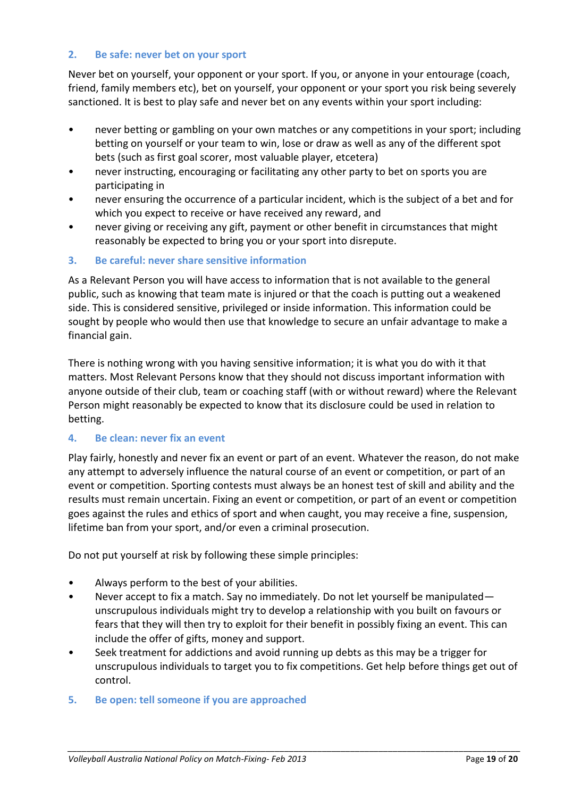#### **2. Be safe: never bet on your sport**

Never bet on yourself, your opponent or your sport. If you, or anyone in your entourage (coach, friend, family members etc), bet on yourself, your opponent or your sport you risk being severely sanctioned. It is best to play safe and never bet on any events within your sport including:

- never betting or gambling on your own matches or any competitions in your sport; including betting on yourself or your team to win, lose or draw as well as any of the different spot bets (such as first goal scorer, most valuable player, etcetera)
- never instructing, encouraging or facilitating any other party to bet on sports you are participating in
- never ensuring the occurrence of a particular incident, which is the subject of a bet and for which you expect to receive or have received any reward, and
- never giving or receiving any gift, payment or other benefit in circumstances that might reasonably be expected to bring you or your sport into disrepute.

#### **3. Be careful: never share sensitive information**

As a Relevant Person you will have access to information that is not available to the general public, such as knowing that team mate is injured or that the coach is putting out a weakened side. This is considered sensitive, privileged or inside information. This information could be sought by people who would then use that knowledge to secure an unfair advantage to make a financial gain.

There is nothing wrong with you having sensitive information; it is what you do with it that matters. Most Relevant Persons know that they should not discuss important information with anyone outside of their club, team or coaching staff (with or without reward) where the Relevant Person might reasonably be expected to know that its disclosure could be used in relation to betting.

#### **4. Be clean: never fix an event**

Play fairly, honestly and never fix an event or part of an event. Whatever the reason, do not make any attempt to adversely influence the natural course of an event or competition, or part of an event or competition. Sporting contests must always be an honest test of skill and ability and the results must remain uncertain. Fixing an event or competition, or part of an event or competition goes against the rules and ethics of sport and when caught, you may receive a fine, suspension, lifetime ban from your sport, and/or even a criminal prosecution.

Do not put yourself at risk by following these simple principles:

- Always perform to the best of your abilities.
- Never accept to fix a match. Say no immediately. Do not let yourself be manipulated unscrupulous individuals might try to develop a relationship with you built on favours or fears that they will then try to exploit for their benefit in possibly fixing an event. This can include the offer of gifts, money and support.
- Seek treatment for addictions and avoid running up debts as this may be a trigger for unscrupulous individuals to target you to fix competitions. Get help before things get out of control.

*\_\_\_\_\_\_\_\_\_\_\_\_\_\_\_\_\_\_\_\_\_\_\_\_\_\_\_\_\_\_\_\_\_\_\_\_\_\_\_\_\_\_\_\_\_\_\_\_\_\_\_\_\_\_\_\_\_\_\_\_\_\_\_\_\_\_\_\_\_\_\_\_\_\_\_\_\_\_\_\_\_\_\_\_\_\_\_\_\_\_\_\_\_\_\_\_*

**5. Be open: tell someone if you are approached**